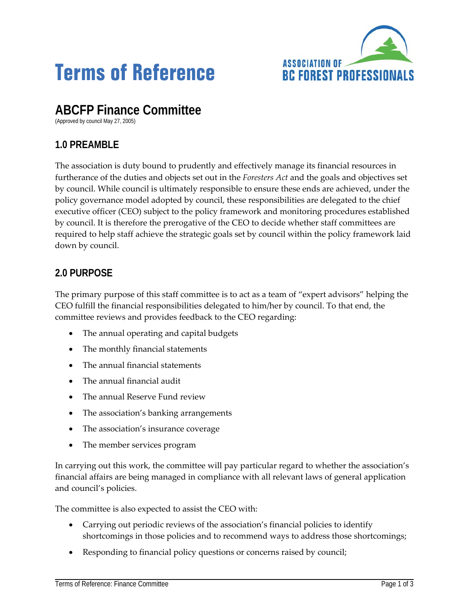

# **Terms of Reference**

# **ABCFP Finance Committee**

(Approved by council May 27, 2005)

## **1.0 PREAMBLE**

The association is duty bound to prudently and effectively manage its financial resources in furtherance of the duties and objects set out in the *Foresters Act* and the goals and objectives set by council. While council is ultimately responsible to ensure these ends are achieved, under the policy governance model adopted by council, these responsibilities are delegated to the chief executive officer (CEO) subject to the policy framework and monitoring procedures established by council. It is therefore the prerogative of the CEO to decide whether staff committees are required to help staff achieve the strategic goals set by council within the policy framework laid down by council.

### **2.0 PURPOSE**

The primary purpose of this staff committee is to act as a team of "expert advisors" helping the CEO fulfill the financial responsibilities delegated to him/her by council. To that end, the committee reviews and provides feedback to the CEO regarding:

- The annual operating and capital budgets
- The monthly financial statements
- The annual financial statements
- The annual financial audit
- The annual Reserve Fund review
- The association's banking arrangements
- The association's insurance coverage
- The member services program

In carrying out this work, the committee will pay particular regard to whether the association's financial affairs are being managed in compliance with all relevant laws of general application and council's policies.

The committee is also expected to assist the CEO with:

- Carrying out periodic reviews of the association's financial policies to identify shortcomings in those policies and to recommend ways to address those shortcomings;
- Responding to financial policy questions or concerns raised by council;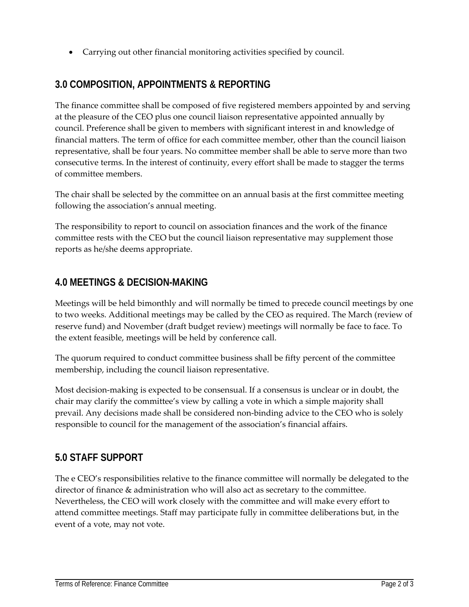• Carrying out other financial monitoring activities specified by council.

#### **3.0 COMPOSITION, APPOINTMENTS & REPORTING**

The finance committee shall be composed of five registered members appointed by and serving at the pleasure of the CEO plus one council liaison representative appointed annually by council. Preference shall be given to members with significant interest in and knowledge of financial matters. The term of office for each committee member, other than the council liaison representative, shall be four years. No committee member shall be able to serve more than two consecutive terms. In the interest of continuity, every effort shall be made to stagger the terms of committee members.

The chair shall be selected by the committee on an annual basis at the first committee meeting following the association's annual meeting.

The responsibility to report to council on association finances and the work of the finance committee rests with the CEO but the council liaison representative may supplement those reports as he/she deems appropriate.

#### **4.0 MEETINGS & DECISION-MAKING**

Meetings will be held bimonthly and will normally be timed to precede council meetings by one to two weeks. Additional meetings may be called by the CEO as required. The March (review of reserve fund) and November (draft budget review) meetings will normally be face to face. To the extent feasible, meetings will be held by conference call.

The quorum required to conduct committee business shall be fifty percent of the committee membership, including the council liaison representative.

Most decision‐making is expected to be consensual. If a consensus is unclear or in doubt, the chair may clarify the committee's view by calling a vote in which a simple majority shall prevail. Any decisions made shall be considered non-binding advice to the CEO who is solely responsible to council for the management of the association's financial affairs.

#### **5.0 STAFF SUPPORT**

The e CEO's responsibilities relative to the finance committee will normally be delegated to the director of finance & administration who will also act as secretary to the committee. Nevertheless, the CEO will work closely with the committee and will make every effort to attend committee meetings. Staff may participate fully in committee deliberations but, in the event of a vote, may not vote.